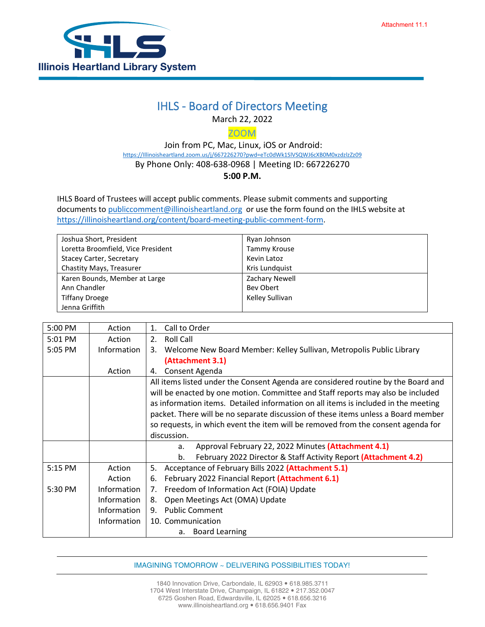

## IHLS - Board of Directors Meeting

March 22, 2022

ZOOM

 Join from PC, Mac, Linux, iOS or Android: [https://Illinoisheartland.zoom.us/j/667226270?pwd=eTc0dWk1SlVSQWJ6cXB0M0xzdzlzZz09](https://illinoisheartland.zoom.us/j/667226270?pwd=eTc0dWk1SlVSQWJ6cXB0M0xzdzlzZz09) By Phone Only: 408-638-0968 | Meeting ID: 667226270 **5:00 P.M.**

IHLS Board of Trustees will accept public comments. Please submit comments and supporting documents t[o publiccomment@illinoisheartland.org](mailto:publiccomment@illinoisheartland.org) or use the form found on the IHLS website at [https://illinoisheartland.org/content/board-meeting-public-comment-form.](https://illinoisheartland.org/content/board-meeting-public-comment-form)

| Joshua Short, President            | Ryan Johnson    |
|------------------------------------|-----------------|
| Loretta Broomfield, Vice President | Tammy Krouse    |
| Stacey Carter, Secretary           | Kevin Latoz     |
| Chastity Mays, Treasurer           | Kris Lundquist  |
| Karen Bounds, Member at Large      | Zachary Newell  |
| Ann Chandler                       | Bev Obert       |
| <b>Tiffany Droege</b>              | Kelley Sullivan |
| Jenna Griffith                     |                 |

| 5:00 PM   | Action      | Call to Order<br>1.                                                                |
|-----------|-------------|------------------------------------------------------------------------------------|
| 5:01 PM   | Action      | <b>Roll Call</b><br>2.                                                             |
| 5:05 PM   | Information | Welcome New Board Member: Kelley Sullivan, Metropolis Public Library<br>3.         |
|           |             | (Attachment 3.1)                                                                   |
|           | Action      | Consent Agenda<br>4.                                                               |
|           |             | All items listed under the Consent Agenda are considered routine by the Board and  |
|           |             | will be enacted by one motion. Committee and Staff reports may also be included    |
|           |             | as information items. Detailed information on all items is included in the meeting |
|           |             | packet. There will be no separate discussion of these items unless a Board member  |
|           |             | so requests, in which event the item will be removed from the consent agenda for   |
|           |             | discussion.                                                                        |
|           |             | Approval February 22, 2022 Minutes (Attachment 4.1)<br>a.                          |
|           |             | February 2022 Director & Staff Activity Report (Attachment 4.2)<br>b.              |
| 5:15 PM   | Action      | Acceptance of February Bills 2022 (Attachment 5.1)<br>5.                           |
|           | Action      | February 2022 Financial Report (Attachment 6.1)<br>6.                              |
| $5:30$ PM | Information | Freedom of Information Act (FOIA) Update<br>7.                                     |
|           | Information | Open Meetings Act (OMA) Update<br>8.                                               |
|           | Information | <b>Public Comment</b><br>9.                                                        |
|           | Information | 10. Communication                                                                  |
|           |             | <b>Board Learning</b><br>a.                                                        |

IMAGINING TOMORROW ~ DELIVERING POSSIBILITIES TODAY!